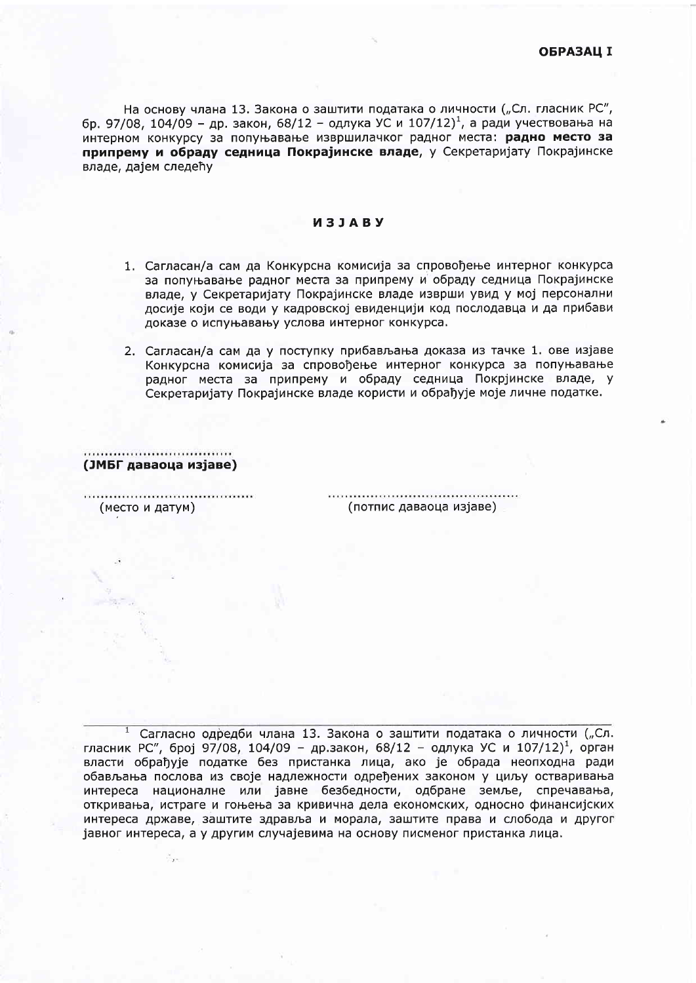На основу члана 13. Закона о заштити података о личности ("Сл. гласник РС", бр. 97/08, 104/09 - др. закон, 68/12 - одлука УС и 107/12)<sup>1</sup>, а ради учествовања на интерном конкурсу за попуњавање извршилачког радног места: радно место за припрему и обраду седница Покрајинске владе, у Секретаријату Покрајинске владе, дајем следећу

## *M***3JABY**

- 1. Сагласан/а сам да Конкурсна комисија за спровођење интерног конкурса за попуњавање радног места за припрему и обраду седница Покрајинске владе, у Секретаријату Покрајинске владе изврши увид у мој персонални досије који се води у кадровској евиденцији код послодавца и да прибави доказе о испуњавању услова интерног конкурса.
- 2. Сагласан/а сам да у поступку прибављања доказа из тачке 1. ове изјаве Конкурсна комисија за спровођење интерног конкурса за попуњавање радног места за припрему и обраду седница Покрјинске владе, у Секретаријату Покрајинске владе користи и обрађује моје личне податке.

............................... (ЈМБГ даваоца изјаве)

(место и датум)

(потпис даваоца изјаве)

Сагласно одредби члана 13. Закона о заштити података о личности ("Сл. гласник РС", број 97/08, 104/09 - др.закон, 68/12 - одлука УС и 107/12)<sup>1</sup>, орган власти обрађује податке без пристанка лица, ако је обрада неопходна ради обављања послова из своје надлежности одређених законом у циљу остваривања интереса националне или јавне безбедности, одбране земље, спречавања, откривања, истраге и гоњења за кривична дела економских, односно финансијских интереса државе, заштите здравља и морала, заштите права и слобода и другог јавног интереса, а у другим случајевима на основу писменог пристанка лица.